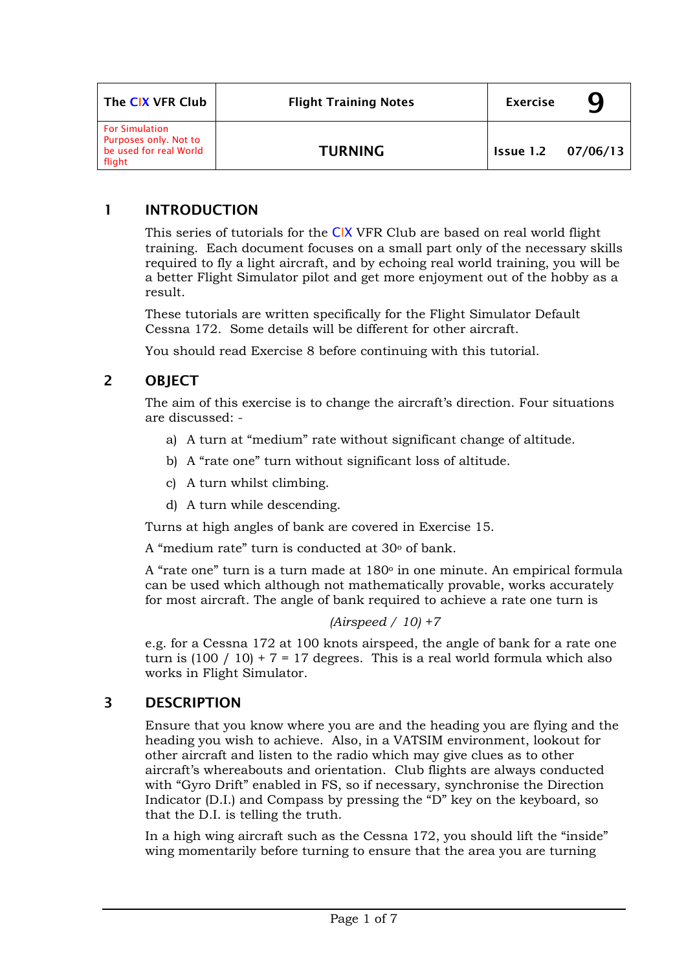| The CIX VFR Club                                                                   | <b>Flight Training Notes</b> | <b>Exercise</b>           |  |
|------------------------------------------------------------------------------------|------------------------------|---------------------------|--|
| <b>For Simulation</b><br>Purposes only. Not to<br>be used for real World<br>flight | <b>TURNING</b>               | <b>Issue 1.2 07/06/13</b> |  |

# 1 INTRODUCTION

This series of tutorials for the CIX VFR Club are based on real world flight training. Each document focuses on a small part only of the necessary skills required to fly a light aircraft, and by echoing real world training, you will be a better Flight Simulator pilot and get more enjoyment out of the hobby as a result.

These tutorials are written specifically for the Flight Simulator Default Cessna 172. Some details will be different for other aircraft.

You should read Exercise 8 before continuing with this tutorial.

# 2 OBJECT

The aim of this exercise is to change the aircraft's direction. Four situations are discussed: -

- a) A turn at "medium" rate without significant change of altitude.
- b) A "rate one" turn without significant loss of altitude.
- c) A turn whilst climbing.
- d) A turn while descending.

Turns at high angles of bank are covered in Exercise 15.

A "medium rate" turn is conducted at 30<sup>o</sup> of bank.

A "rate one" turn is a turn made at 180<sup>°</sup> in one minute. An empirical formula can be used which although not mathematically provable, works accurately for most aircraft. The angle of bank required to achieve a rate one turn is

### *(Airspeed / 10) +7*

e.g. for a Cessna 172 at 100 knots airspeed, the angle of bank for a rate one turn is  $(100 / 10) + 7 = 17$  degrees. This is a real world formula which also works in Flight Simulator.

# 3 DESCRIPTION

Ensure that you know where you are and the heading you are flying and the heading you wish to achieve. Also, in a VATSIM environment, lookout for other aircraft and listen to the radio which may give clues as to other aircraft's whereabouts and orientation. Club flights are always conducted with "Gyro Drift" enabled in FS, so if necessary, synchronise the Direction Indicator (D.I.) and Compass by pressing the "D" key on the keyboard, so that the D.I. is telling the truth.

In a high wing aircraft such as the Cessna 172, you should lift the "inside" wing momentarily before turning to ensure that the area you are turning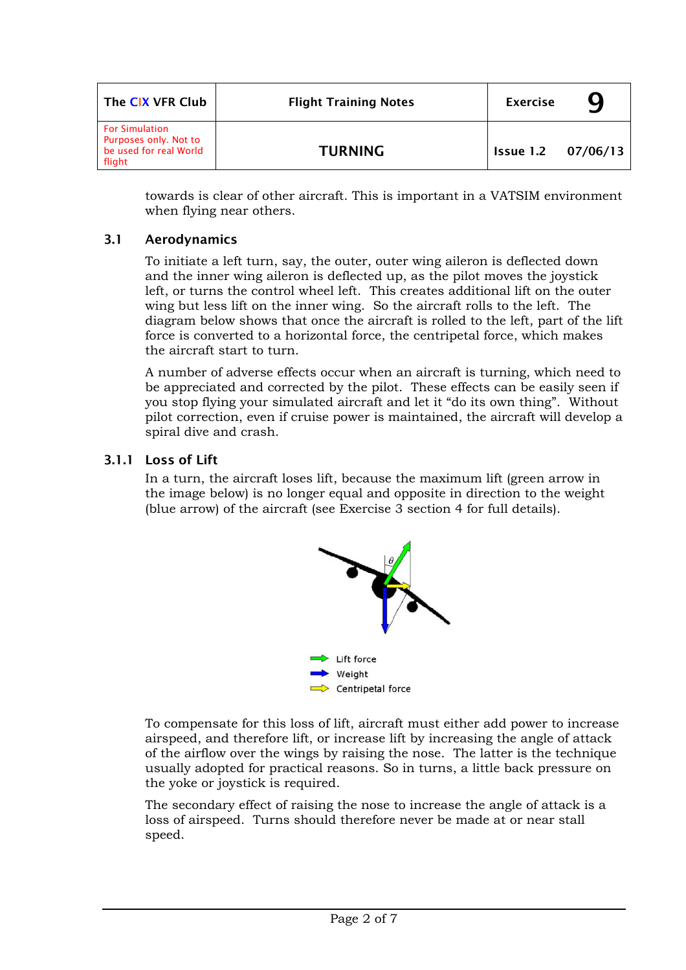| The CIX VFR Club                                                                   | <b>Flight Training Notes</b> | <b>Exercise</b>           | 9 |
|------------------------------------------------------------------------------------|------------------------------|---------------------------|---|
| <b>For Simulation</b><br>Purposes only. Not to<br>be used for real World<br>flight | <b>TURNING</b>               | <b>Issue 1.2 07/06/13</b> |   |

towards is clear of other aircraft. This is important in a VATSIM environment when flying near others.

### 3.1 Aerodynamics

To initiate a left turn, say, the outer, outer wing aileron is deflected down and the inner wing aileron is deflected up, as the pilot moves the joystick left, or turns the control wheel left. This creates additional lift on the outer wing but less lift on the inner wing. So the aircraft rolls to the left. The diagram below shows that once the aircraft is rolled to the left, part of the lift force is converted to a horizontal force, the centripetal force, which makes the aircraft start to turn.

A number of adverse effects occur when an aircraft is turning, which need to be appreciated and corrected by the pilot. These effects can be easily seen if you stop flying your simulated aircraft and let it "do its own thing". Without pilot correction, even if cruise power is maintained, the aircraft will develop a spiral dive and crash.

## 3.1.1 Loss of Lift

In a turn, the aircraft loses lift, because the maximum lift (green arrow in the image below) is no longer equal and opposite in direction to the weight (blue arrow) of the aircraft (see Exercise 3 section 4 for full details).



To compensate for this loss of lift, aircraft must either add power to increase airspeed, and therefore lift, or increase lift by increasing the angle of attack of the airflow over the wings by raising the nose. The latter is the technique usually adopted for practical reasons. So in turns, a little back pressure on the yoke or joystick is required.

The secondary effect of raising the nose to increase the angle of attack is a loss of airspeed. Turns should therefore never be made at or near stall speed.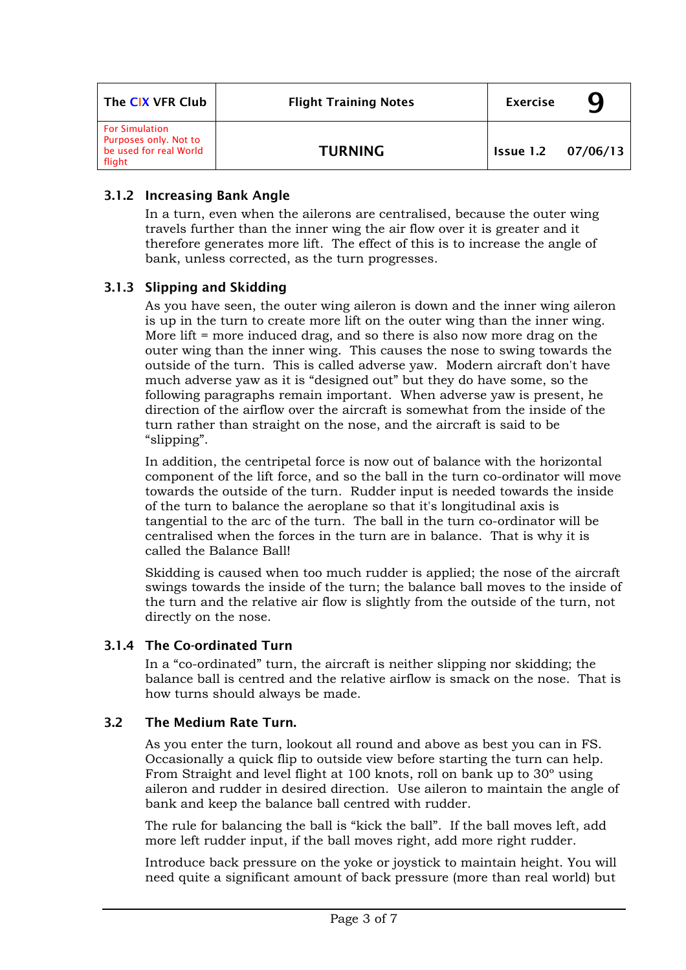| The CIX VFR Club                                                                   | <b>Flight Training Notes</b> | <b>Exercise</b>           |  |
|------------------------------------------------------------------------------------|------------------------------|---------------------------|--|
| <b>For Simulation</b><br>Purposes only. Not to<br>be used for real World<br>flight | <b>TURNING</b>               | <b>Issue 1.2 07/06/13</b> |  |

## 3.1.2 Increasing Bank Angle

In a turn, even when the ailerons are centralised, because the outer wing travels further than the inner wing the air flow over it is greater and it therefore generates more lift. The effect of this is to increase the angle of bank, unless corrected, as the turn progresses.

## 3.1.3 Slipping and Skidding

As you have seen, the outer wing aileron is down and the inner wing aileron is up in the turn to create more lift on the outer wing than the inner wing. More lift = more induced drag, and so there is also now more drag on the outer wing than the inner wing. This causes the nose to swing towards the outside of the turn. This is called adverse yaw. Modern aircraft don't have much adverse yaw as it is "designed out" but they do have some, so the following paragraphs remain important. When adverse yaw is present, he direction of the airflow over the aircraft is somewhat from the inside of the turn rather than straight on the nose, and the aircraft is said to be "slipping".

In addition, the centripetal force is now out of balance with the horizontal component of the lift force, and so the ball in the turn co-ordinator will move towards the outside of the turn. Rudder input is needed towards the inside of the turn to balance the aeroplane so that it's longitudinal axis is tangential to the arc of the turn. The ball in the turn co-ordinator will be centralised when the forces in the turn are in balance. That is why it is called the Balance Ball!

Skidding is caused when too much rudder is applied; the nose of the aircraft swings towards the inside of the turn; the balance ball moves to the inside of the turn and the relative air flow is slightly from the outside of the turn, not directly on the nose.

### 3.1.4 The Co-ordinated Turn

In a "co-ordinated" turn, the aircraft is neither slipping nor skidding; the balance ball is centred and the relative airflow is smack on the nose. That is how turns should always be made.

### 3.2 The Medium Rate Turn.

As you enter the turn, lookout all round and above as best you can in FS. Occasionally a quick flip to outside view before starting the turn can help. From Straight and level flight at 100 knots, roll on bank up to 30º using aileron and rudder in desired direction. Use aileron to maintain the angle of bank and keep the balance ball centred with rudder.

The rule for balancing the ball is "kick the ball". If the ball moves left, add more left rudder input, if the ball moves right, add more right rudder.

Introduce back pressure on the yoke or joystick to maintain height. You will need quite a significant amount of back pressure (more than real world) but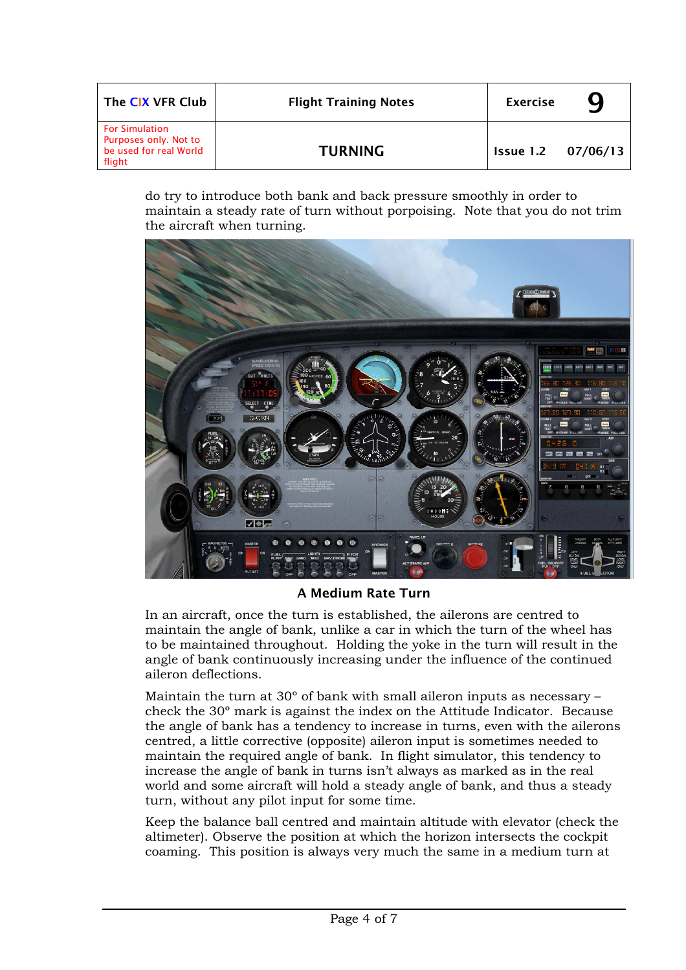| The CIX VFR Club                                                                   | <b>Flight Training Notes</b> | <b>Exercise</b>           |  |
|------------------------------------------------------------------------------------|------------------------------|---------------------------|--|
| <b>For Simulation</b><br>Purposes only. Not to<br>be used for real World<br>flight | <b>TURNING</b>               | <b>Issue 1.2 07/06/13</b> |  |

do try to introduce both bank and back pressure smoothly in order to maintain a steady rate of turn without porpoising. Note that you do not trim the aircraft when turning.



A Medium Rate Turn

In an aircraft, once the turn is established, the ailerons are centred to maintain the angle of bank, unlike a car in which the turn of the wheel has to be maintained throughout. Holding the yoke in the turn will result in the angle of bank continuously increasing under the influence of the continued aileron deflections.

Maintain the turn at 30º of bank with small aileron inputs as necessary – check the 30º mark is against the index on the Attitude Indicator. Because the angle of bank has a tendency to increase in turns, even with the ailerons centred, a little corrective (opposite) aileron input is sometimes needed to maintain the required angle of bank. In flight simulator, this tendency to increase the angle of bank in turns isn't always as marked as in the real world and some aircraft will hold a steady angle of bank, and thus a steady turn, without any pilot input for some time.

Keep the balance ball centred and maintain altitude with elevator (check the altimeter). Observe the position at which the horizon intersects the cockpit coaming. This position is always very much the same in a medium turn at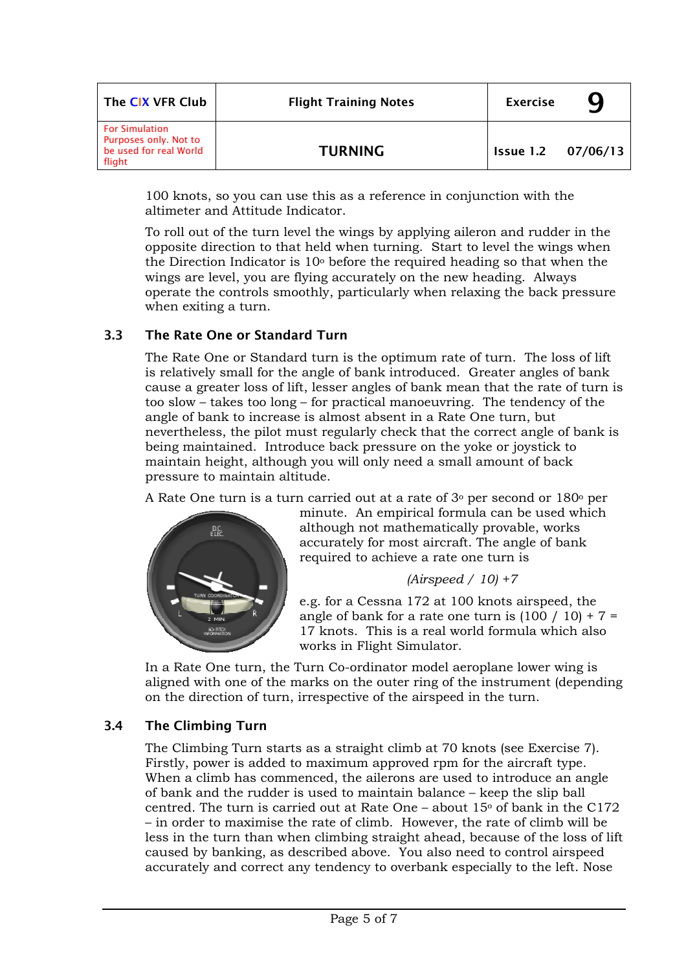| The CIX VFR Club                                                                   | <b>Flight Training Notes</b> | <b>Exercise</b>           | Ч |
|------------------------------------------------------------------------------------|------------------------------|---------------------------|---|
| <b>For Simulation</b><br>Purposes only. Not to<br>be used for real World<br>flight | <b>TURNING</b>               | <b>Issue 1.2 07/06/13</b> |   |

100 knots, so you can use this as a reference in conjunction with the altimeter and Attitude Indicator.

To roll out of the turn level the wings by applying aileron and rudder in the opposite direction to that held when turning. Start to level the wings when the Direction Indicator is  $10<sup>o</sup>$  before the required heading so that when the wings are level, you are flying accurately on the new heading. Always operate the controls smoothly, particularly when relaxing the back pressure when exiting a turn.

### 3.3 The Rate One or Standard Turn

The Rate One or Standard turn is the optimum rate of turn. The loss of lift is relatively small for the angle of bank introduced. Greater angles of bank cause a greater loss of lift, lesser angles of bank mean that the rate of turn is too slow – takes too long – for practical manoeuvring. The tendency of the angle of bank to increase is almost absent in a Rate One turn, but nevertheless, the pilot must regularly check that the correct angle of bank is being maintained. Introduce back pressure on the yoke or joystick to maintain height, although you will only need a small amount of back pressure to maintain altitude.

A Rate One turn is a turn carried out at a rate of  $3°$  per second or  $180°$  per



minute. An empirical formula can be used which although not mathematically provable, works accurately for most aircraft. The angle of bank required to achieve a rate one turn is

#### *(Airspeed / 10) +7*

e.g. for a Cessna 172 at 100 knots airspeed, the angle of bank for a rate one turn is  $(100 / 10) + 7 =$ 17 knots. This is a real world formula which also works in Flight Simulator.

In a Rate One turn, the Turn Co-ordinator model aeroplane lower wing is aligned with one of the marks on the outer ring of the instrument (depending on the direction of turn, irrespective of the airspeed in the turn.

### 3.4 The Climbing Turn

The Climbing Turn starts as a straight climb at 70 knots (see Exercise 7). Firstly, power is added to maximum approved rpm for the aircraft type. When a climb has commenced, the ailerons are used to introduce an angle of bank and the rudder is used to maintain balance – keep the slip ball centred. The turn is carried out at Rate One – about  $15\degree$  of bank in the C172 – in order to maximise the rate of climb. However, the rate of climb will be less in the turn than when climbing straight ahead, because of the loss of lift caused by banking, as described above. You also need to control airspeed accurately and correct any tendency to overbank especially to the left. Nose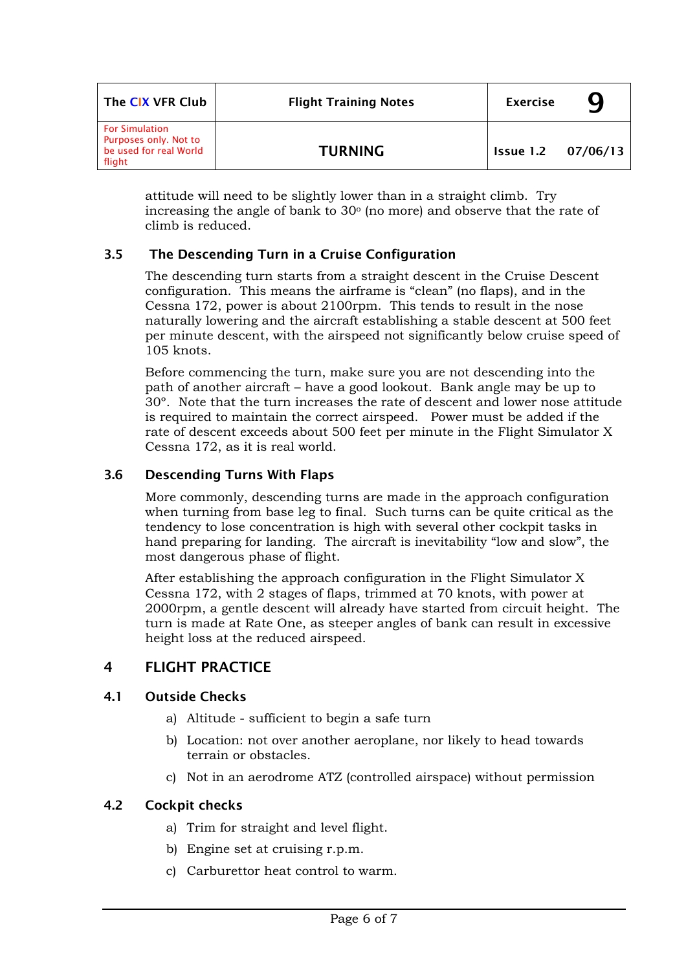| The CIX VFR Club                                                                   | <b>Flight Training Notes</b> | <b>Exercise</b>           |  |
|------------------------------------------------------------------------------------|------------------------------|---------------------------|--|
| <b>For Simulation</b><br>Purposes only. Not to<br>be used for real World<br>flight | <b>TURNING</b>               | <b>Issue 1.2 07/06/13</b> |  |

attitude will need to be slightly lower than in a straight climb. Try increasing the angle of bank to  $30^{\circ}$  (no more) and observe that the rate of climb is reduced.

## 3.5 The Descending Turn in a Cruise Configuration

The descending turn starts from a straight descent in the Cruise Descent configuration. This means the airframe is "clean" (no flaps), and in the Cessna 172, power is about 2100rpm. This tends to result in the nose naturally lowering and the aircraft establishing a stable descent at 500 feet per minute descent, with the airspeed not significantly below cruise speed of 105 knots.

Before commencing the turn, make sure you are not descending into the path of another aircraft – have a good lookout. Bank angle may be up to 30º. Note that the turn increases the rate of descent and lower nose attitude is required to maintain the correct airspeed. Power must be added if the rate of descent exceeds about 500 feet per minute in the Flight Simulator X Cessna 172, as it is real world.

## 3.6 Descending Turns With Flaps

More commonly, descending turns are made in the approach configuration when turning from base leg to final. Such turns can be quite critical as the tendency to lose concentration is high with several other cockpit tasks in hand preparing for landing. The aircraft is inevitability "low and slow", the most dangerous phase of flight.

After establishing the approach configuration in the Flight Simulator X Cessna 172, with 2 stages of flaps, trimmed at 70 knots, with power at 2000rpm, a gentle descent will already have started from circuit height. The turn is made at Rate One, as steeper angles of bank can result in excessive height loss at the reduced airspeed.

# 4 FLIGHT PRACTICE

### 4.1 Outside Checks

- a) Altitude sufficient to begin a safe turn
- b) Location: not over another aeroplane, nor likely to head towards terrain or obstacles.
- c) Not in an aerodrome ATZ (controlled airspace) without permission

### 4.2 Cockpit checks

- a) Trim for straight and level flight.
- b) Engine set at cruising r.p.m.
- c) Carburettor heat control to warm.